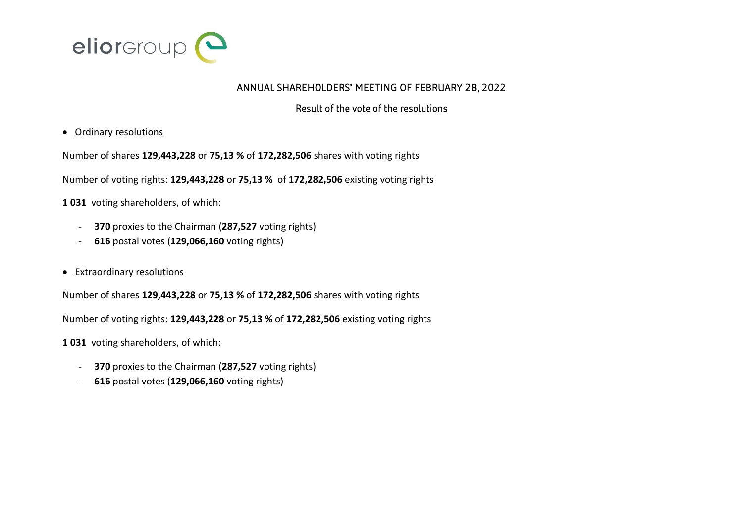

## ANNUAL SHAREHOLDERS' MEETING OF FEBRUARY 28, 2022

## Result of the vote of the resolutions

## Ordinary resolutions

Number of shares **129,443,228** or **75,13 %** of **172,282,506** shares with voting rights

Number of voting rights: **129,443,228** or **75,13 %** of **172,282,506** existing voting rights

**1 031** voting shareholders, of which:

- **370** proxies to the Chairman (**287,527** voting rights)
- **616** postal votes (**129,066,160** voting rights)
- Extraordinary resolutions

Number of shares **129,443,228** or **75,13 %** of **172,282,506** shares with voting rights

Number of voting rights: **129,443,228** or **75,13 %** of **172,282,506** existing voting rights

**1 031** voting shareholders, of which:

- **370** proxies to the Chairman (**287,527** voting rights)
- **616** postal votes (**129,066,160** voting rights)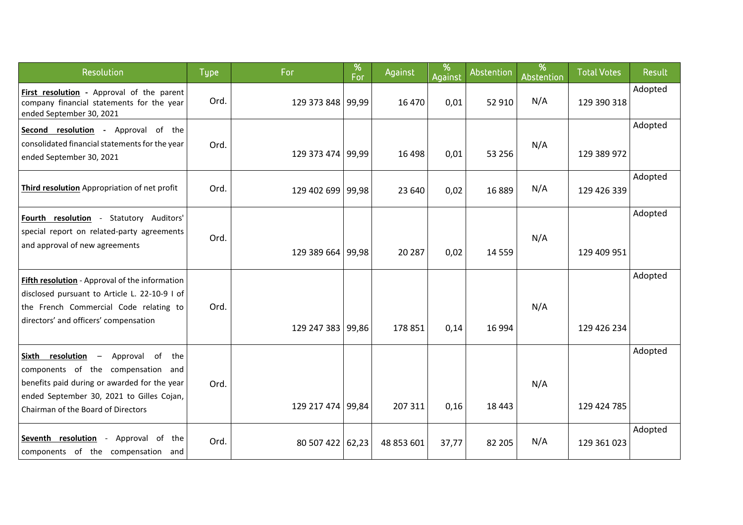| Resolution                                                                                                                                                                                                                                  | <b>Type</b> | For               | %<br>For | Against    | %<br>Against | Abstention | %<br>Abstention | <b>Total Votes</b> | Result  |
|---------------------------------------------------------------------------------------------------------------------------------------------------------------------------------------------------------------------------------------------|-------------|-------------------|----------|------------|--------------|------------|-----------------|--------------------|---------|
| First resolution - Approval of the parent<br>company financial statements for the year<br>ended September 30, 2021                                                                                                                          | Ord.        | 129 373 848 99,99 |          | 16 470     | 0,01         | 52 910     | N/A             | 129 390 318        | Adopted |
| Second resolution - Approval of the<br>consolidated financial statements for the year<br>ended September 30, 2021                                                                                                                           | Ord.        | 129 373 474 99,99 |          | 16 4 98    | 0,01         | 53 256     | N/A             | 129 389 972        | Adopted |
| Third resolution Appropriation of net profit                                                                                                                                                                                                | Ord.        | 129 402 699 99,98 |          | 23 640     | 0,02         | 16889      | N/A             | 129 426 339        | Adopted |
| Fourth resolution - Statutory Auditors'<br>special report on related-party agreements<br>and approval of new agreements                                                                                                                     | Ord.        | 129 389 664 99,98 |          | 20 287     | 0,02         | 14 5 5 9   | N/A             | 129 409 951        | Adopted |
| Fifth resolution - Approval of the information<br>disclosed pursuant to Article L. 22-10-9 I of<br>the French Commercial Code relating to<br>directors' and officers' compensation                                                          | Ord.        | 129 247 383 99,86 |          | 178 851    | 0,14         | 16 9 94    | N/A             | 129 426 234        | Adopted |
| resolution<br>Approval of the<br>Sixth<br>$\overline{\phantom{m}}$<br>components of the compensation and<br>benefits paid during or awarded for the year<br>ended September 30, 2021 to Gilles Cojan,<br>Chairman of the Board of Directors | Ord.        | 129 217 474 99,84 |          | 207 311    | 0,16         | 18 4 43    | N/A             | 129 424 785        | Adopted |
| Seventh resolution - Approval of the<br>components of the compensation and                                                                                                                                                                  | Ord.        | 80 507 422 62,23  |          | 48 853 601 | 37,77        | 82 205     | N/A             | 129 361 023        | Adopted |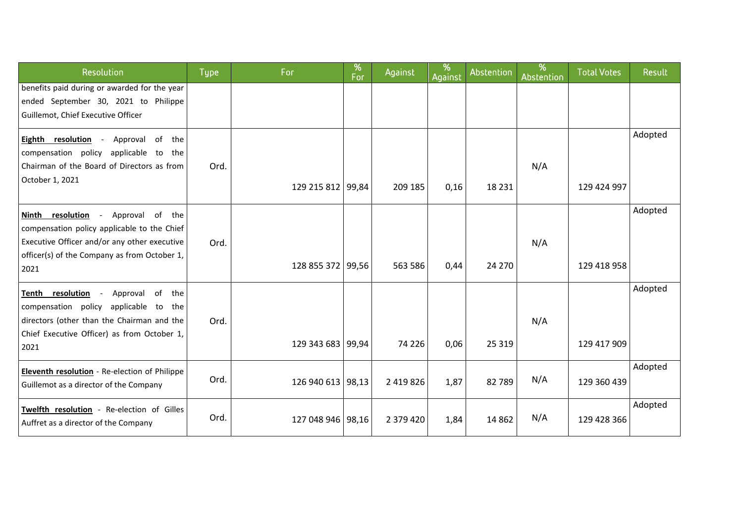| Resolution                                                                                                                                                                                | <b>Type</b> | For               | %<br>For | Against   | %<br>Against | Abstention | %<br><b>Abstention</b> | <b>Total Votes</b> | Result  |
|-------------------------------------------------------------------------------------------------------------------------------------------------------------------------------------------|-------------|-------------------|----------|-----------|--------------|------------|------------------------|--------------------|---------|
| benefits paid during or awarded for the year<br>ended September 30, 2021 to Philippe<br>Guillemot, Chief Executive Officer                                                                |             |                   |          |           |              |            |                        |                    |         |
| Eighth resolution -<br>Approval of the<br>compensation policy applicable to the<br>Chairman of the Board of Directors as from<br>October 1, 2021                                          | Ord.        | 129 215 812 99,84 |          | 209 185   | 0,16         | 18 231     | N/A                    | 129 424 997        | Adopted |
| Ninth resolution - Approval of the<br>compensation policy applicable to the Chief<br>Executive Officer and/or any other executive<br>officer(s) of the Company as from October 1,<br>2021 | Ord.        | 128 855 372 99,56 |          | 563 586   | 0,44         | 24 270     | N/A                    | 129 418 958        | Adopted |
| Tenth resolution -<br>Approval of<br>the<br>compensation policy applicable to<br>the<br>directors (other than the Chairman and the<br>Chief Executive Officer) as from October 1,<br>2021 | Ord.        | 129 343 683 99,94 |          | 74 226    | 0,06         | 25 3 19    | N/A                    | 129 417 909        | Adopted |
| Eleventh resolution - Re-election of Philippe<br>Guillemot as a director of the Company                                                                                                   | Ord.        | 126 940 613 98,13 |          | 2 419 826 | 1,87         | 82789      | N/A                    | 129 360 439        | Adopted |
| Twelfth resolution - Re-election of Gilles<br>Auffret as a director of the Company                                                                                                        | Ord.        | 127 048 946 98,16 |          | 2 379 420 | 1,84         | 14 8 62    | N/A                    | 129 428 366        | Adopted |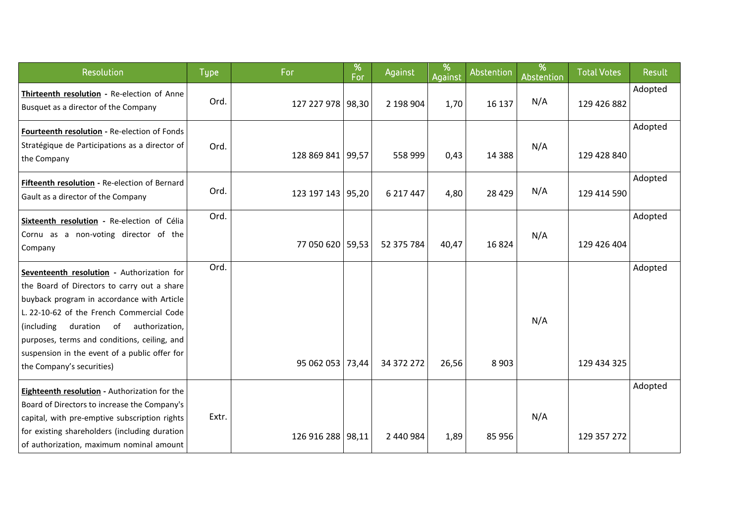| Resolution                                                                                                                                                                                                                                                                                                                                                         | <b>Type</b> | For               | %<br>For | Against    | %<br>Against | Abstention | %<br>Abstention | <b>Total Votes</b> | Result  |
|--------------------------------------------------------------------------------------------------------------------------------------------------------------------------------------------------------------------------------------------------------------------------------------------------------------------------------------------------------------------|-------------|-------------------|----------|------------|--------------|------------|-----------------|--------------------|---------|
| Thirteenth resolution - Re-election of Anne<br>Busquet as a director of the Company                                                                                                                                                                                                                                                                                | Ord.        | 127 227 978 98,30 |          | 2 198 904  | 1,70         | 16 137     | N/A             | 129 426 882        | Adopted |
| Fourteenth resolution - Re-election of Fonds<br>Stratégique de Participations as a director of<br>the Company                                                                                                                                                                                                                                                      | Ord.        | 128 869 841 99,57 |          | 558 999    | 0,43         | 14 3 8 8   | N/A             | 129 428 840        | Adopted |
| Fifteenth resolution - Re-election of Bernard<br>Gault as a director of the Company                                                                                                                                                                                                                                                                                | Ord.        | 123 197 143 95,20 |          | 6 217 447  | 4,80         | 28 4 29    | N/A             | 129 414 590        | Adopted |
| Sixteenth resolution - Re-election of Célia<br>Cornu as a non-voting director of the<br>Company                                                                                                                                                                                                                                                                    | Ord.        | 77 050 620 59,53  |          | 52 375 784 | 40,47        | 16824      | N/A             | 129 426 404        | Adopted |
| Seventeenth resolution - Authorization for<br>the Board of Directors to carry out a share<br>buyback program in accordance with Article<br>L. 22-10-62 of the French Commercial Code<br>(including)<br>duration of<br>authorization,<br>purposes, terms and conditions, ceiling, and<br>suspension in the event of a public offer for<br>the Company's securities) | Ord.        | 95 062 053 73,44  |          | 34 372 272 | 26,56        | 8 9 0 3    | N/A             | 129 434 325        | Adopted |
| Eighteenth resolution - Authorization for the<br>Board of Directors to increase the Company's<br>capital, with pre-emptive subscription rights<br>for existing shareholders (including duration<br>of authorization, maximum nominal amount                                                                                                                        | Extr.       | 126 916 288 98,11 |          | 2 440 984  | 1,89         | 85 956     | N/A             | 129 357 272        | Adopted |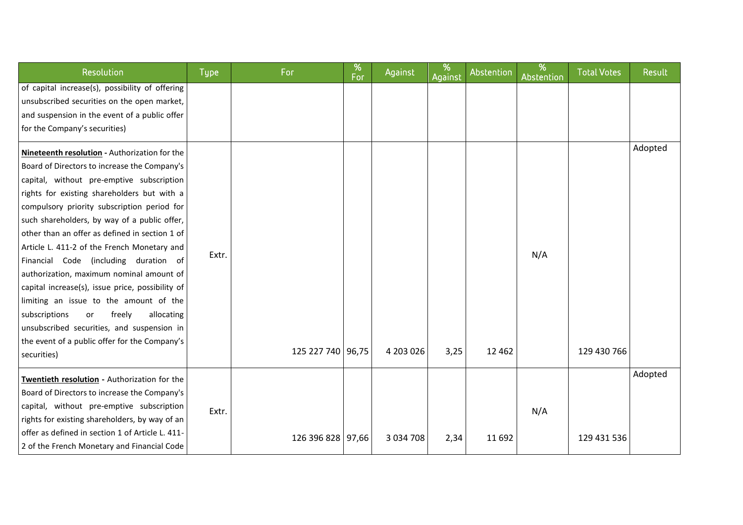| Resolution                                                                                                                                                                                                                                                                                                                                                                                                                                                                                                                                                                                                                                                                                                                                | <b>Type</b> | For               | %<br>For | Against       | %<br>Against | Abstention | %<br>Abstention | <b>Total Votes</b> | Result  |
|-------------------------------------------------------------------------------------------------------------------------------------------------------------------------------------------------------------------------------------------------------------------------------------------------------------------------------------------------------------------------------------------------------------------------------------------------------------------------------------------------------------------------------------------------------------------------------------------------------------------------------------------------------------------------------------------------------------------------------------------|-------------|-------------------|----------|---------------|--------------|------------|-----------------|--------------------|---------|
| of capital increase(s), possibility of offering<br>unsubscribed securities on the open market,<br>and suspension in the event of a public offer<br>for the Company's securities)                                                                                                                                                                                                                                                                                                                                                                                                                                                                                                                                                          |             |                   |          |               |              |            |                 |                    |         |
| Nineteenth resolution - Authorization for the<br>Board of Directors to increase the Company's<br>capital, without pre-emptive subscription<br>rights for existing shareholders but with a<br>compulsory priority subscription period for<br>such shareholders, by way of a public offer,<br>other than an offer as defined in section 1 of<br>Article L. 411-2 of the French Monetary and<br>Financial Code (including duration of<br>authorization, maximum nominal amount of<br>capital increase(s), issue price, possibility of<br>limiting an issue to the amount of the<br>allocating<br>subscriptions<br>freely<br>or<br>unsubscribed securities, and suspension in<br>the event of a public offer for the Company's<br>securities) | Extr.       | 125 227 740 96,75 |          | 4 203 026     | 3,25         | 12 4 62    | N/A             | 129 430 766        | Adopted |
| Twentieth resolution - Authorization for the<br>Board of Directors to increase the Company's<br>capital, without pre-emptive subscription<br>rights for existing shareholders, by way of an<br>offer as defined in section 1 of Article L. 411-<br>2 of the French Monetary and Financial Code                                                                                                                                                                                                                                                                                                                                                                                                                                            | Extr.       | 126 396 828 97,66 |          | 3 0 3 4 7 0 8 | 2,34         | 11 692     | N/A             | 129 431 536        | Adopted |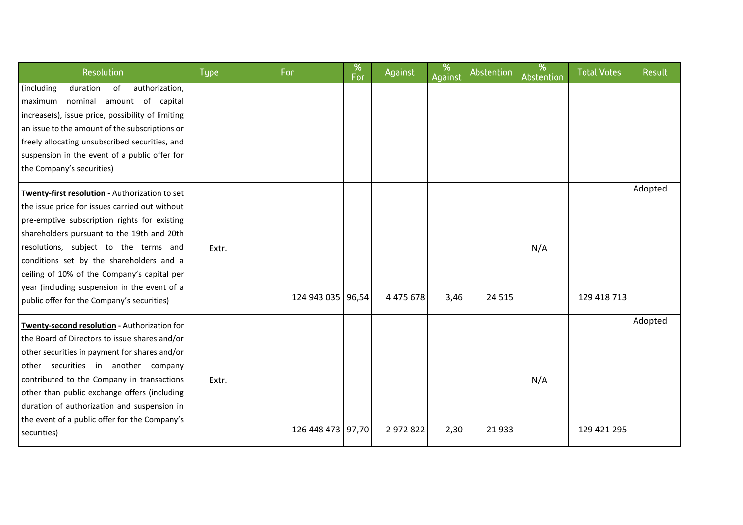| Resolution                                                                                                                                                                                                                                                                                                                                                                                                                       | <b>Type</b> | For               | %<br>For | Against   | %<br>Against | Abstention | %<br>Abstention | <b>Total Votes</b> | Result  |
|----------------------------------------------------------------------------------------------------------------------------------------------------------------------------------------------------------------------------------------------------------------------------------------------------------------------------------------------------------------------------------------------------------------------------------|-------------|-------------------|----------|-----------|--------------|------------|-----------------|--------------------|---------|
| duration<br>authorization,<br>(including<br>of<br>amount of capital<br>nominal<br>maximum<br>increase(s), issue price, possibility of limiting<br>an issue to the amount of the subscriptions or<br>freely allocating unsubscribed securities, and<br>suspension in the event of a public offer for<br>the Company's securities)                                                                                                 |             |                   |          |           |              |            |                 |                    |         |
| Twenty-first resolution - Authorization to set<br>the issue price for issues carried out without<br>pre-emptive subscription rights for existing<br>shareholders pursuant to the 19th and 20th<br>resolutions, subject to the terms and<br>conditions set by the shareholders and a<br>ceiling of 10% of the Company's capital per<br>year (including suspension in the event of a<br>public offer for the Company's securities) | Extr.       | 124 943 035 96,54 |          | 4 475 678 | 3,46         | 24 5 15    | N/A             | 129 418 713        | Adopted |
| Twenty-second resolution - Authorization for<br>the Board of Directors to issue shares and/or<br>other securities in payment for shares and/or<br>other securities in another company<br>contributed to the Company in transactions<br>other than public exchange offers (including<br>duration of authorization and suspension in<br>the event of a public offer for the Company's<br>securities)                               | Extr.       | 126 448 473 97,70 |          | 2 972 822 | 2,30         | 21933      | N/A             | 129 421 295        | Adopted |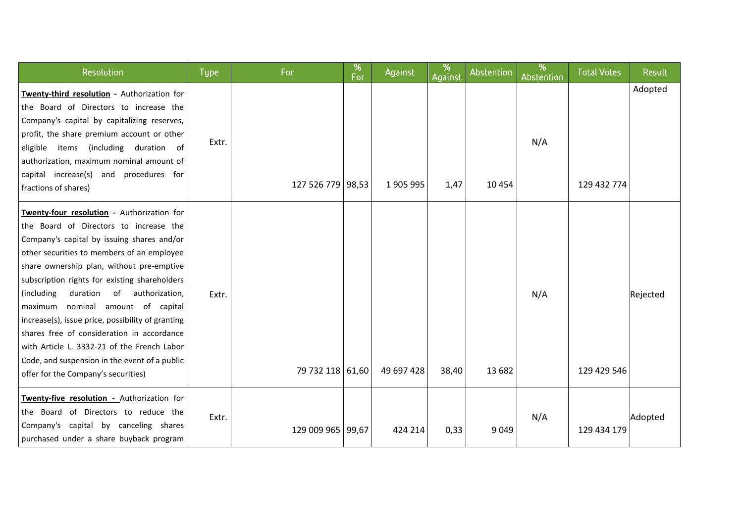| Resolution                                                                                                                                                                                                                                                                                                                                                                                                                                                                                                                                                                                                         | <b>Type</b> | For               | %<br>For | Against    | %<br>Against | Abstention | %<br>Abstention | <b>Total Votes</b> | Result   |
|--------------------------------------------------------------------------------------------------------------------------------------------------------------------------------------------------------------------------------------------------------------------------------------------------------------------------------------------------------------------------------------------------------------------------------------------------------------------------------------------------------------------------------------------------------------------------------------------------------------------|-------------|-------------------|----------|------------|--------------|------------|-----------------|--------------------|----------|
| Twenty-third resolution - Authorization for<br>the Board of Directors to increase the<br>Company's capital by capitalizing reserves,<br>profit, the share premium account or other<br>eligible items (including duration of<br>authorization, maximum nominal amount of<br>capital increase(s) and procedures for<br>fractions of shares)                                                                                                                                                                                                                                                                          | Extr.       | 127 526 779 98,53 |          | 1 905 995  | 1,47         | 10 4 54    | N/A             | 129 432 774        | Adopted  |
| Twenty-four resolution - Authorization for<br>the Board of Directors to increase the<br>Company's capital by issuing shares and/or<br>other securities to members of an employee<br>share ownership plan, without pre-emptive<br>subscription rights for existing shareholders<br>(including<br>duration<br>of<br>authorization,<br>nominal amount of capital<br>maximum<br>increase(s), issue price, possibility of granting<br>shares free of consideration in accordance<br>with Article L. 3332-21 of the French Labor<br>Code, and suspension in the event of a public<br>offer for the Company's securities) | Extr.       | 79 732 118 61,60  |          | 49 697 428 | 38,40        | 13 682     | N/A             | 129 429 546        | Rejected |
| Twenty-five resolution - Authorization for<br>the Board of Directors to reduce the<br>Company's capital by canceling shares<br>purchased under a share buyback program                                                                                                                                                                                                                                                                                                                                                                                                                                             | Extr.       | 129 009 965 99,67 |          | 424 214    | 0,33         | 9 0 4 9    | N/A             | 129 434 179        | Adopted  |